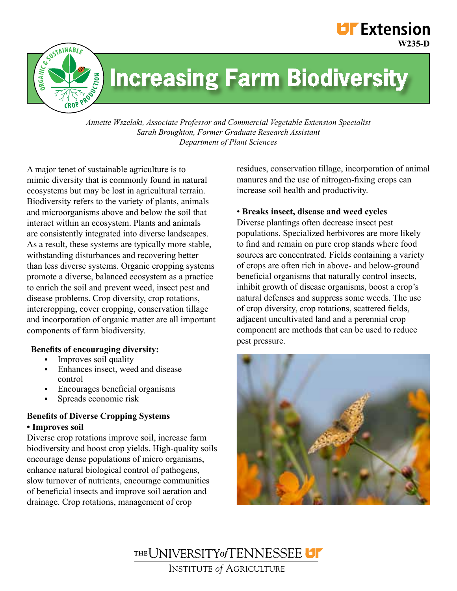# **UF** Extension **W235-D**



# **Increasing Farm Biodiversity**

*Annette Wszelaki, Associate Professor and Commercial Vegetable Extension Specialist Sarah Broughton, Former Graduate Research Assistant Department of Plant Sciences*

A major tenet of sustainable agriculture is to mimic diversity that is commonly found in natural ecosystems but may be lost in agricultural terrain. Biodiversity refers to the variety of plants, animals and microorganisms above and below the soil that interact within an ecosystem. Plants and animals are consistently integrated into diverse landscapes. As a result, these systems are typically more stable, withstanding disturbances and recovering better than less diverse systems. Organic cropping systems promote a diverse, balanced ecosystem as a practice to enrich the soil and prevent weed, insect pest and disease problems. Crop diversity, crop rotations, intercropping, cover cropping, conservation tillage and incorporation of organic matter are all important components of farm biodiversity.

# **Benefits of encouraging diversity:**

- Improves soil quality
- Enhances insect, weed and disease control
- Encourages beneficial organisms
- **Spreads** economic risk

# **Benefits of Diverse Cropping Systems • Improves soil**

Diverse crop rotations improve soil, increase farm biodiversity and boost crop yields. High-quality soils encourage dense populations of micro organisms, enhance natural biological control of pathogens, slow turnover of nutrients, encourage communities of beneficial insects and improve soil aeration and drainage. Crop rotations, management of crop

residues, conservation tillage, incorporation of animal manures and the use of nitrogen-fixing crops can increase soil health and productivity.

#### • **Breaks insect, disease and weed cycles**

Diverse plantings often decrease insect pest populations. Specialized herbivores are more likely to find and remain on pure crop stands where food sources are concentrated. Fields containing a variety of crops are often rich in above- and below-ground beneficial organisms that naturally control insects, inhibit growth of disease organisms, boost a crop's natural defenses and suppress some weeds. The use of crop diversity, crop rotations, scattered fields, adjacent uncultivated land and a perennial crop component are methods that can be used to reduce pest pressure.



THE UNIVERSITY of TENNESSEE **INSTITUTE of AGRICULTURE**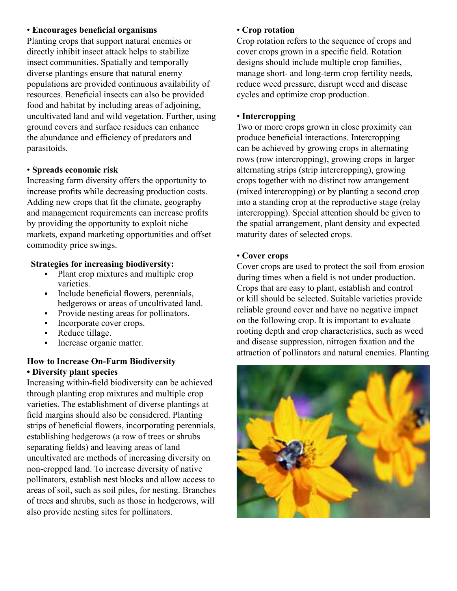# • **Encourages beneficial organisms**

Planting crops that support natural enemies or directly inhibit insect attack helps to stabilize insect communities. Spatially and temporally diverse plantings ensure that natural enemy populations are provided continuous availability of resources. Beneficial insects can also be provided food and habitat by including areas of adjoining, uncultivated land and wild vegetation. Further, using ground covers and surface residues can enhance the abundance and efficiency of predators and parasitoids.

#### • **Spreads economic risk**

Increasing farm diversity offers the opportunity to increase profits while decreasing production costs. Adding new crops that fit the climate, geography and management requirements can increase profits by providing the opportunity to exploit niche markets, expand marketing opportunities and offset commodity price swings.

#### **Strategies for increasing biodiversity:**

- Plant crop mixtures and multiple crop varieties.
- Include beneficial flowers, perennials, hedgerows or areas of uncultivated land.
- Provide nesting areas for pollinators.
- Incorporate cover crops.
- Reduce tillage.
- **Increase organic matter.**

# **How to Increase On-Farm Biodiversity • Diversity plant species**

Increasing within-field biodiversity can be achieved through planting crop mixtures and multiple crop varieties. The establishment of diverse plantings at field margins should also be considered. Planting strips of beneficial flowers, incorporating perennials, establishing hedgerows (a row of trees or shrubs separating fields) and leaving areas of land uncultivated are methods of increasing diversity on non-cropped land. To increase diversity of native pollinators, establish nest blocks and allow access to areas of soil, such as soil piles, for nesting. Branches of trees and shrubs, such as those in hedgerows, will also provide nesting sites for pollinators.

#### • **Crop rotation**

Crop rotation refers to the sequence of crops and cover crops grown in a specific field. Rotation designs should include multiple crop families, manage short- and long-term crop fertility needs, reduce weed pressure, disrupt weed and disease cycles and optimize crop production.

#### • **Intercropping**

Two or more crops grown in close proximity can produce beneficial interactions. Intercropping can be achieved by growing crops in alternating rows (row intercropping), growing crops in larger alternating strips (strip intercropping), growing crops together with no distinct row arrangement (mixed intercropping) or by planting a second crop into a standing crop at the reproductive stage (relay intercropping). Special attention should be given to the spatial arrangement, plant density and expected maturity dates of selected crops.

#### • **Cover crops**

Cover crops are used to protect the soil from erosion during times when a field is not under production. Crops that are easy to plant, establish and control or kill should be selected. Suitable varieties provide reliable ground cover and have no negative impact on the following crop. It is important to evaluate rooting depth and crop characteristics, such as weed and disease suppression, nitrogen fixation and the attraction of pollinators and natural enemies. Planting

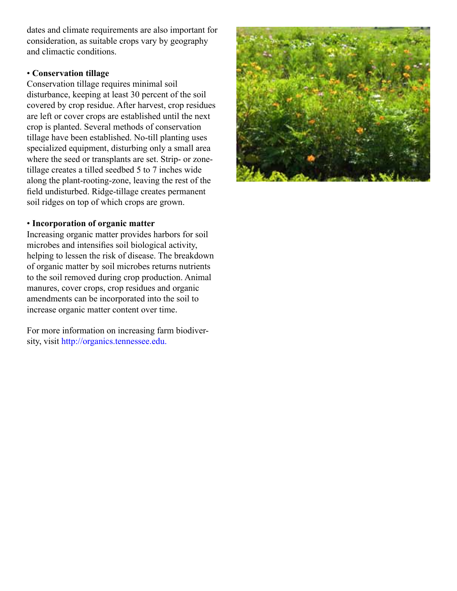dates and climate requirements are also important for consideration, as suitable crops vary by geography and climactic conditions.

# • **Conservation tillage**

Conservation tillage requires minimal soil disturbance, keeping at least 30 percent of the soil covered by crop residue. After harvest, crop residues are left or cover crops are established until the next crop is planted. Several methods of conservation tillage have been established. No-till planting uses specialized equipment, disturbing only a small area where the seed or transplants are set. Strip- or zonetillage creates a tilled seedbed 5 to 7 inches wide along the plant-rooting-zone, leaving the rest of the field undisturbed. Ridge-tillage creates permanent soil ridges on top of which crops are grown.

# • **Incorporation of organic matter**

Increasing organic matter provides harbors for soil microbes and intensifies soil biological activity, helping to lessen the risk of disease. The breakdown of organic matter by soil microbes returns nutrients to the soil removed during crop production. Animal manures, cover crops, crop residues and organic amendments can be incorporated into the soil to increase organic matter content over time.

For more information on increasing farm biodiversity, visit http://organics.tennessee.edu.